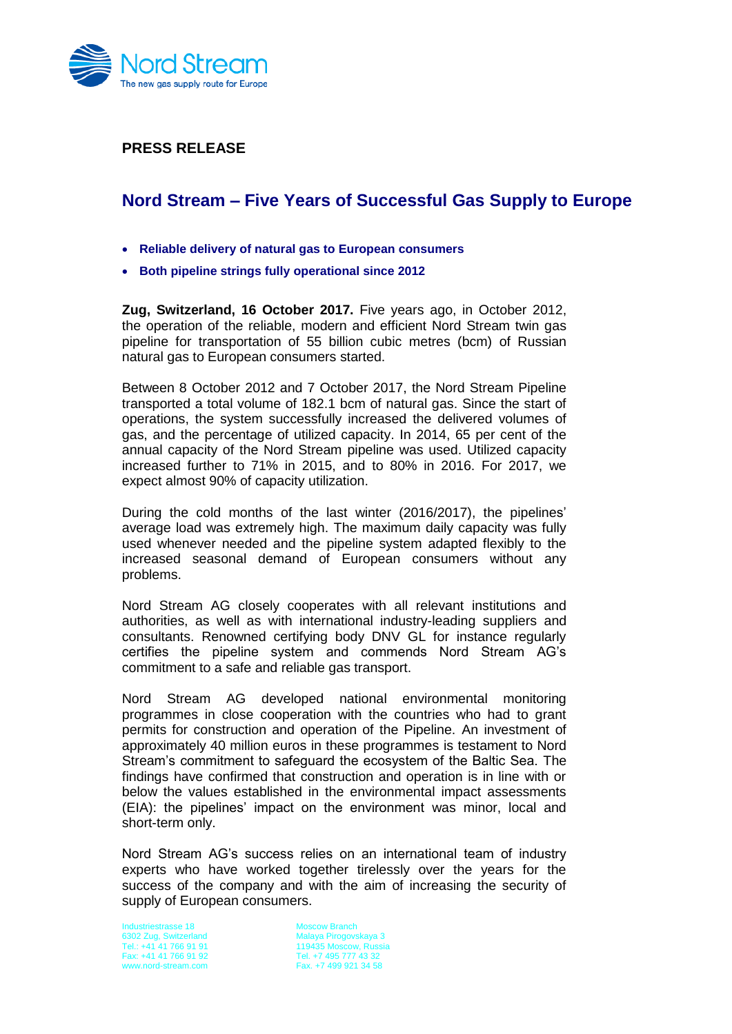

**PRESS RELEASE**

## **Nord Stream – Five Years of Successful Gas Supply to Europe**

- **Reliable delivery of natural gas to European consumers**
- **Both pipeline strings fully operational since 2012**

**Zug, Switzerland, 16 October 2017.** Five years ago, in October 2012, the operation of the reliable, modern and efficient Nord Stream twin gas pipeline for transportation of 55 billion cubic metres (bcm) of Russian natural gas to European consumers started.

Between 8 October 2012 and 7 October 2017, the Nord Stream Pipeline transported a total volume of 182.1 bcm of natural gas. Since the start of operations, the system successfully increased the delivered volumes of gas, and the percentage of utilized capacity. In 2014, 65 per cent of the annual capacity of the Nord Stream pipeline was used. Utilized capacity increased further to 71% in 2015, and to 80% in 2016. For 2017, we expect almost 90% of capacity utilization.

During the cold months of the last winter (2016/2017), the pipelines' average load was extremely high. The maximum daily capacity was fully used whenever needed and the pipeline system adapted flexibly to the increased seasonal demand of European consumers without any problems.

Nord Stream AG closely cooperates with all relevant institutions and authorities, as well as with international industry-leading suppliers and consultants. Renowned certifying body DNV GL for instance regularly certifies the pipeline system and commends Nord Stream AG's commitment to a safe and reliable gas transport.

Nord Stream AG developed national environmental monitoring programmes in close cooperation with the countries who had to grant permits for construction and operation of the Pipeline. An investment of approximately 40 million euros in these programmes is testament to Nord Stream's commitment to safeguard the ecosystem of the Baltic Sea. The findings have confirmed that construction and operation is in line with or below the values established in the environmental impact assessments (EIA): the pipelines' impact on the environment was minor, local and short-term only.

Nord Stream AG's success relies on an international team of industry experts who have worked together tirelessly over the years for the success of the company and with the aim of increasing the security of supply of European consumers.

Industriestrasse 18 6302 Zug, Switzerland Tel.: +41 41 766 91 91 Fax: +41 41 766 91 92 www.nord-stream.com

Moscow Branch Malaya Pirogovskaya 3 119435 Moscow, Russia Tel. +7 495 777 43 32 Fax. +7 499 921 34 58